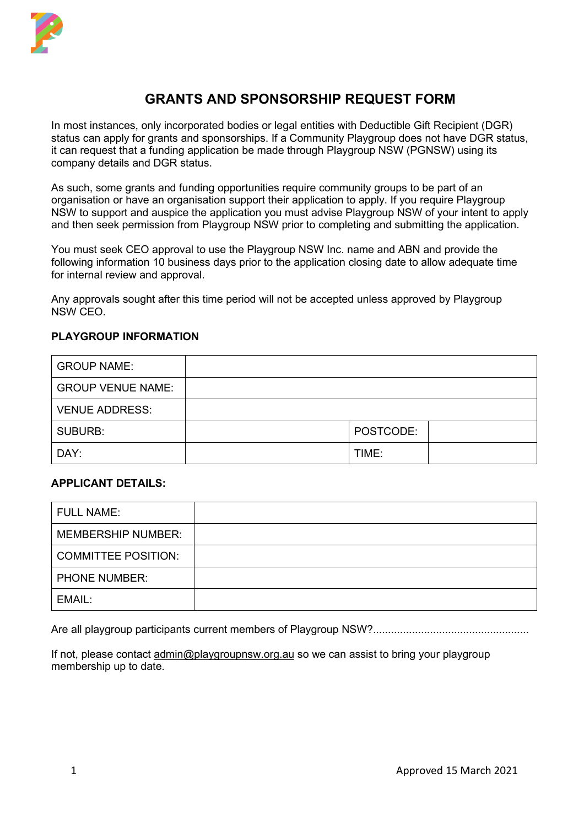

# **GRANTS AND SPONSORSHIP REQUEST FORM**

In most instances, only incorporated bodies or legal entities with Deductible Gift Recipient (DGR) status can apply for grants and sponsorships. If a Community Playgroup does not have DGR status, it can request that a funding application be made through Playgroup NSW (PGNSW) using its company details and DGR status.

As such, some grants and funding opportunities require community groups to be part of an organisation or have an organisation support their application to apply. If you require Playgroup NSW to support and auspice the application you must advise Playgroup NSW of your intent to apply and then seek permission from Playgroup NSW prior to completing and submitting the application.

You must seek CEO approval to use the Playgroup NSW Inc. name and ABN and provide the following information 10 business days prior to the application closing date to allow adequate time for internal review and approval.

Any approvals sought after this time period will not be accepted unless approved by Playgroup NSW CEO.

# **PLAYGROUP INFORMATION**

| <b>GROUP NAME:</b>       |           |  |
|--------------------------|-----------|--|
| <b>GROUP VENUE NAME:</b> |           |  |
| <b>VENUE ADDRESS:</b>    |           |  |
| <b>SUBURB:</b>           | POSTCODE: |  |
| DAY:                     | TIME:     |  |

# **APPLICANT DETAILS:**

| <b>FULL NAME:</b>          |  |
|----------------------------|--|
| <b>MEMBERSHIP NUMBER:</b>  |  |
| <b>COMMITTEE POSITION:</b> |  |
| <b>PHONE NUMBER:</b>       |  |
| EMAIL:                     |  |

Are all playgroup participants current members of Playgroup NSW?....................................................

If not, please contact [admin@playgroupnsw.org.au](mailto:admin@playgroupnsw.org.au) so we can assist to bring your playgroup membership up to date.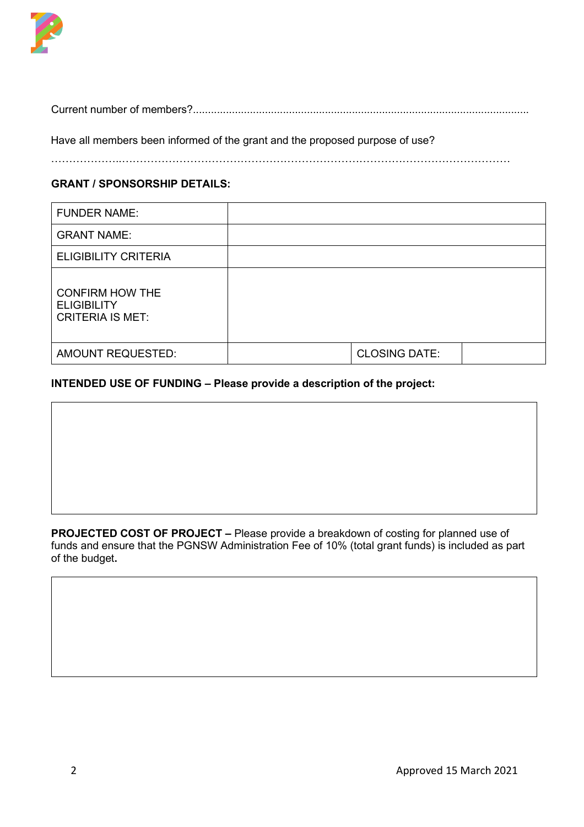

Current number of members?................................................................................................................

Have all members been informed of the grant and the proposed purpose of use?

………………..………………………………………………………………………………………………

#### **GRANT / SPONSORSHIP DETAILS:**

| <b>FUNDER NAME:</b>                                                     |                      |  |
|-------------------------------------------------------------------------|----------------------|--|
| <b>GRANT NAME:</b>                                                      |                      |  |
| <b>ELIGIBILITY CRITERIA</b>                                             |                      |  |
| <b>CONFIRM HOW THE</b><br><b>ELIGIBILITY</b><br><b>CRITERIA IS MET:</b> |                      |  |
| <b>AMOUNT REQUESTED:</b>                                                | <b>CLOSING DATE:</b> |  |

# **INTENDED USE OF FUNDING – Please provide a description of the project:**



**PROJECTED COST OF PROJECT –** Please provide a breakdown of costing for planned use of funds and ensure that the PGNSW Administration Fee of 10% (total grant funds) is included as part of the budget**.**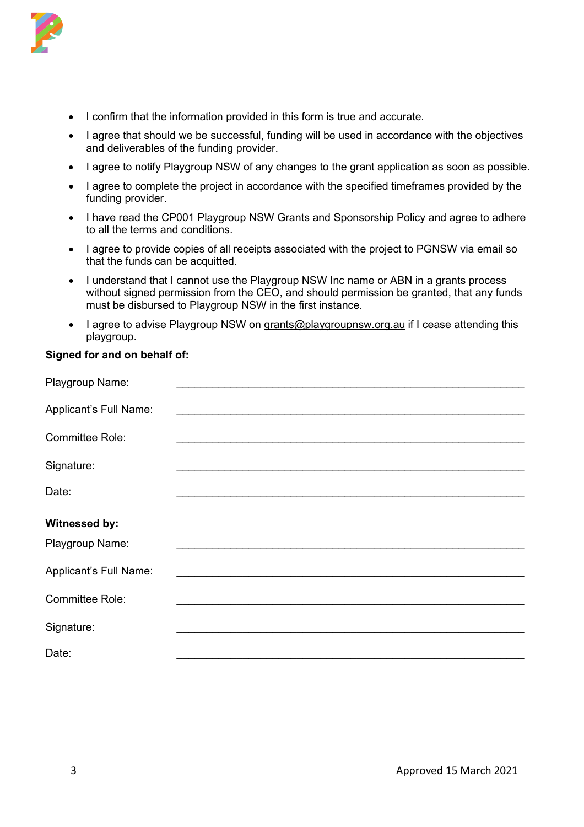

- I confirm that the information provided in this form is true and accurate.
- I agree that should we be successful, funding will be used in accordance with the objectives and deliverables of the funding provider.
- I agree to notify Playgroup NSW of any changes to the grant application as soon as possible.
- I agree to complete the project in accordance with the specified timeframes provided by the funding provider.
- I have read the CP001 Playgroup NSW Grants and Sponsorship Policy and agree to adhere to all the terms and conditions.
- I agree to provide copies of all receipts associated with the project to PGNSW via email so that the funds can be acquitted.
- I understand that I cannot use the Playgroup NSW Inc name or ABN in a grants process without signed permission from the CEO, and should permission be granted, that any funds must be disbursed to Playgroup NSW in the first instance.
- I agree to advise Playgroup NSW on [grants@playgroupnsw.org.au](mailto:grants@playgroupnsw.org.au) if I cease attending this playgroup.

# **Signed for and on behalf of:**

| Playgroup Name:        |  |
|------------------------|--|
| Applicant's Full Name: |  |
| <b>Committee Role:</b> |  |
| Signature:             |  |
| Date:                  |  |
| Witnessed by:          |  |
| Playgroup Name:        |  |
| Applicant's Full Name: |  |
| <b>Committee Role:</b> |  |
| Signature:             |  |
| Date:                  |  |